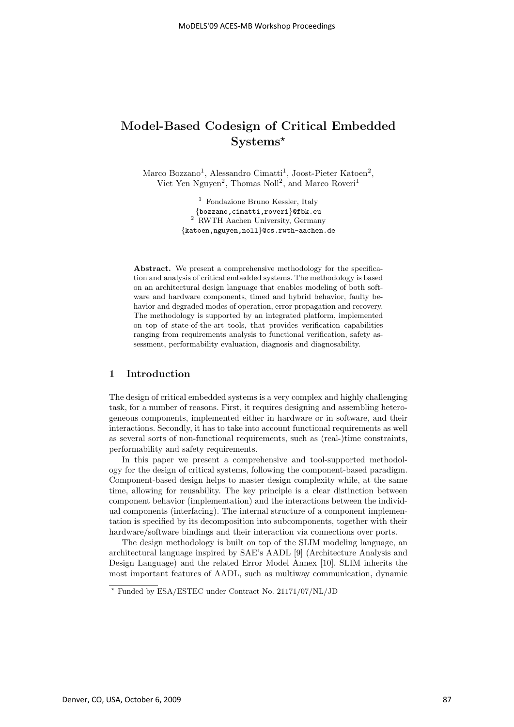# **Model-Based Codesign of Critical Embedded Systems***-*

Marco Bozzano<sup>1</sup>, Alessandro Cimatti<sup>1</sup>, Joost-Pieter Katoen<sup>2</sup>, Viet Yen Nguyen<sup>2</sup>, Thomas Noll<sup>2</sup>, and Marco Roveri<sup>1</sup>

> <sup>1</sup> Fondazione Bruno Kessler, Italy {bozzano,cimatti,roveri}@fbk.eu <sup>2</sup> RWTH Aachen University, Germany {katoen,nguyen,noll}@cs.rwth-aachen.de

Abstract. We present a comprehensive methodology for the specification and analysis of critical embedded systems. The methodology is based on an architectural design language that enables modeling of both software and hardware components, timed and hybrid behavior, faulty behavior and degraded modes of operation, error propagation and recovery. The methodology is supported by an integrated platform, implemented on top of state-of-the-art tools, that provides verification capabilities ranging from requirements analysis to functional verification, safety assessment, performability evaluation, diagnosis and diagnosability.

## **1 Introduction**

The design of critical embedded systems is a very complex and highly challenging task, for a number of reasons. First, it requires designing and assembling heterogeneous components, implemented either in hardware or in software, and their interactions. Secondly, it has to take into account functional requirements as well as several sorts of non-functional requirements, such as (real-)time constraints, performability and safety requirements.

In this paper we present a comprehensive and tool-supported methodology for the design of critical systems, following the component-based paradigm. Component-based design helps to master design complexity while, at the same time, allowing for reusability. The key principle is a clear distinction between component behavior (implementation) and the interactions between the individual components (interfacing). The internal structure of a component implementation is specified by its decomposition into subcomponents, together with their hardware/software bindings and their interaction via connections over ports.

The design methodology is built on top of the SLIM modeling language, an architectural language inspired by SAE's AADL [9] (Architecture Analysis and Design Language) and the related Error Model Annex [10]. SLIM inherits the most important features of AADL, such as multiway communication, dynamic

<sup>-</sup> Funded by ESA/ESTEC under Contract No. 21171/07/NL/JD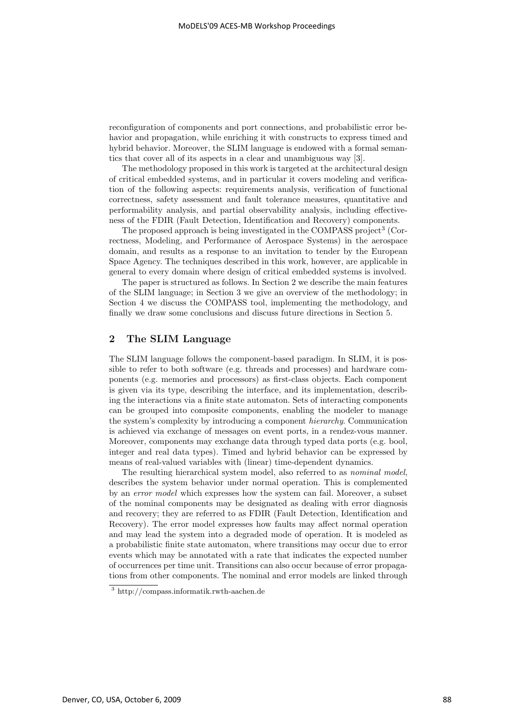reconfiguration of components and port connections, and probabilistic error behavior and propagation, while enriching it with constructs to express timed and hybrid behavior. Moreover, the SLIM language is endowed with a formal semantics that cover all of its aspects in a clear and unambiguous way [3].

The methodology proposed in this work is targeted at the architectural design of critical embedded systems, and in particular it covers modeling and verification of the following aspects: requirements analysis, verification of functional correctness, safety assessment and fault tolerance measures, quantitative and performability analysis, and partial observability analysis, including effectiveness of the FDIR (Fault Detection, Identification and Recovery) components.

The proposed approach is being investigated in the COMPASS project<sup>3</sup> (Correctness, Modeling, and Performance of Aerospace Systems) in the aerospace domain, and results as a response to an invitation to tender by the European Space Agency. The techniques described in this work, however, are applicable in general to every domain where design of critical embedded systems is involved.

The paper is structured as follows. In Section 2 we describe the main features of the SLIM language; in Section 3 we give an overview of the methodology; in Section 4 we discuss the COMPASS tool, implementing the methodology, and finally we draw some conclusions and discuss future directions in Section 5.

### **2 The SLIM Language**

The SLIM language follows the component-based paradigm. In SLIM, it is possible to refer to both software (e.g. threads and processes) and hardware components (e.g. memories and processors) as first-class objects. Each component is given via its type, describing the interface, and its implementation, describing the interactions via a finite state automaton. Sets of interacting components can be grouped into composite components, enabling the modeler to manage the system's complexity by introducing a component hierarchy. Communication is achieved via exchange of messages on event ports, in a rendez-vous manner. Moreover, components may exchange data through typed data ports (e.g. bool, integer and real data types). Timed and hybrid behavior can be expressed by means of real-valued variables with (linear) time-dependent dynamics.

The resulting hierarchical system model, also referred to as *nominal model*, describes the system behavior under normal operation. This is complemented by an error model which expresses how the system can fail. Moreover, a subset of the nominal components may be designated as dealing with error diagnosis and recovery; they are referred to as FDIR (Fault Detection, Identification and Recovery). The error model expresses how faults may affect normal operation and may lead the system into a degraded mode of operation. It is modeled as a probabilistic finite state automaton, where transitions may occur due to error events which may be annotated with a rate that indicates the expected number of occurrences per time unit. Transitions can also occur because of error propagations from other components. The nominal and error models are linked through

<sup>3</sup> http://compass.informatik.rwth-aachen.de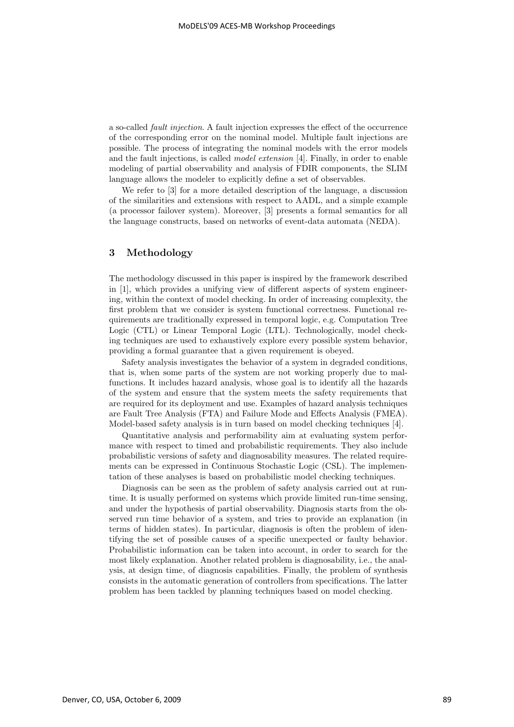a so-called fault injection. A fault injection expresses the effect of the occurrence of the corresponding error on the nominal model. Multiple fault injections are possible. The process of integrating the nominal models with the error models and the fault injections, is called model extension [4]. Finally, in order to enable modeling of partial observability and analysis of FDIR components, the SLIM language allows the modeler to explicitly define a set of observables.

We refer to [3] for a more detailed description of the language, a discussion of the similarities and extensions with respect to AADL, and a simple example (a processor failover system). Moreover, [3] presents a formal semantics for all the language constructs, based on networks of event-data automata (NEDA).

## **3 Methodology**

The methodology discussed in this paper is inspired by the framework described in [1], which provides a unifying view of different aspects of system engineering, within the context of model checking. In order of increasing complexity, the first problem that we consider is system functional correctness. Functional requirements are traditionally expressed in temporal logic, e.g. Computation Tree Logic (CTL) or Linear Temporal Logic (LTL). Technologically, model checking techniques are used to exhaustively explore every possible system behavior, providing a formal guarantee that a given requirement is obeyed.

Safety analysis investigates the behavior of a system in degraded conditions, that is, when some parts of the system are not working properly due to malfunctions. It includes hazard analysis, whose goal is to identify all the hazards of the system and ensure that the system meets the safety requirements that are required for its deployment and use. Examples of hazard analysis techniques are Fault Tree Analysis (FTA) and Failure Mode and Effects Analysis (FMEA). Model-based safety analysis is in turn based on model checking techniques [4].

Quantitative analysis and performability aim at evaluating system performance with respect to timed and probabilistic requirements. They also include probabilistic versions of safety and diagnosability measures. The related requirements can be expressed in Continuous Stochastic Logic (CSL). The implementation of these analyses is based on probabilistic model checking techniques.

Diagnosis can be seen as the problem of safety analysis carried out at runtime. It is usually performed on systems which provide limited run-time sensing, and under the hypothesis of partial observability. Diagnosis starts from the observed run time behavior of a system, and tries to provide an explanation (in terms of hidden states). In particular, diagnosis is often the problem of identifying the set of possible causes of a specific unexpected or faulty behavior. Probabilistic information can be taken into account, in order to search for the most likely explanation. Another related problem is diagnosability, i.e., the analysis, at design time, of diagnosis capabilities. Finally, the problem of synthesis consists in the automatic generation of controllers from specifications. The latter problem has been tackled by planning techniques based on model checking.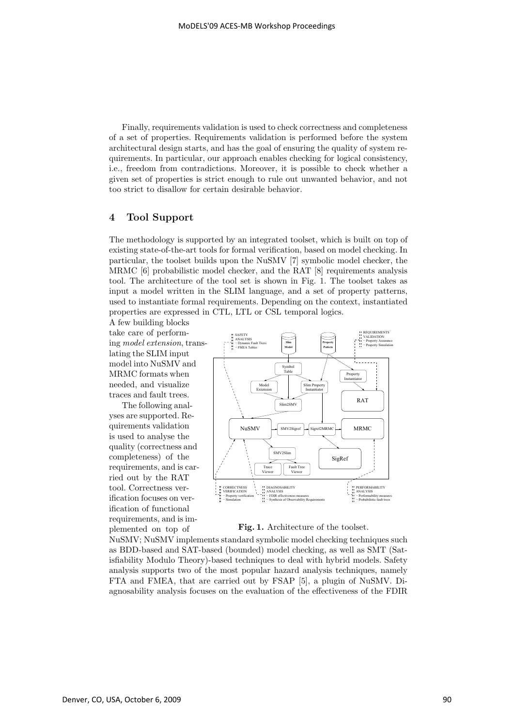Finally, requirements validation is used to check correctness and completeness of a set of properties. Requirements validation is performed before the system architectural design starts, and has the goal of ensuring the quality of system requirements. In particular, our approach enables checking for logical consistency, i.e., freedom from contradictions. Moreover, it is possible to check whether a given set of properties is strict enough to rule out unwanted behavior, and not too strict to disallow for certain desirable behavior.

## **4 Tool Support**

The methodology is supported by an integrated toolset, which is built on top of existing state-of-the-art tools for formal verification, based on model checking. In particular, the toolset builds upon the NuSMV [7] symbolic model checker, the MRMC [6] probabilistic model checker, and the RAT [8] requirements analysis tool. The architecture of the tool set is shown in Fig. 1. The toolset takes as input a model written in the SLIM language, and a set of property patterns, used to instantiate formal requirements. Depending on the context, instantiated properties are expressed in CTL, LTL or CSL temporal logics.

A few building blocks take care of performing model extension, translating the SLIM input model into NuSMV and MRMC formats when needed, and visualize traces and fault trees.

The following analyses are supported. Requirements validation is used to analyse the quality (correctness and completeness) of the requirements, and is carried out by the RAT tool. Correctness verification focuses on verification of functional requirements, and is implemented on top of



**Fig. 1.** Architecture of the toolset.

NuSMV; NuSMV implements standard symbolic model checking techniques such as BDD-based and SAT-based (bounded) model checking, as well as SMT (Satisfiability Modulo Theory)-based techniques to deal with hybrid models. Safety analysis supports two of the most popular hazard analysis techniques, namely FTA and FMEA, that are carried out by FSAP [5], a plugin of NuSMV. Diagnosability analysis focuses on the evaluation of the effectiveness of the FDIR